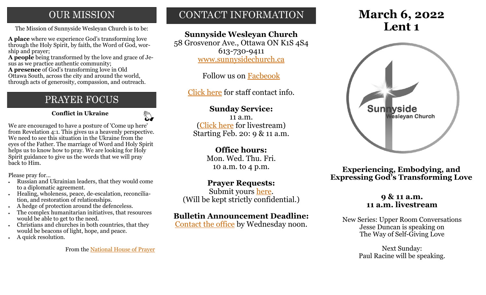## **OUR MISSION**

The Mission of Sunnyside Wesleyan Church is to be:  $\blacksquare$ 

**A place** where we experience God's transforming love through the Holy Spirit, by faith, the Word of God, worship and prayer;

**A people** being transformed by the love and grace of Jesus as we practice authentic community;

**A presence** of God's transforming love in Old Ottawa South, across the city and around the world, through acts of generosity, compassion, and outreach.

## PRAYER FOCUS

 **Conflict in Ukraine**

 $\mathbb{Z}$ 

We are encouraged to have a posture of 'Come up here' from Revelation 4:1. This gives us a heavenly perspective. We need to see this situation in the Ukraine from the eyes of the Father. The marriage of Word and Holy Spirit helps us to know how to pray. We are looking for Holy Spirit guidance to give us the words that we will pray back to Him.

Please pray for…

- Russian and Ukrainian leaders, that they would come to a diplomatic agreement.
- Healing, wholeness, peace, de-escalation, reconciliation, and restoration of relationships.
- A hedge of protection around the defenceless.
- The complex humanitarian initiatives, that resources would be able to get to the need.
- Christians and churches in both countries, that they would be beacons of light, hope, and peace.
- A quick resolution.

From the [National House of Prayer](https://nhop.ca/)

## CONTACT INFORMATION

## **Sunnyside Wesleyan Church**

58 Grosvenor Ave., Ottawa ON K1S 4S4 613-730-9411 [www.sunnysidechurch.ca](http://www.sunnysidechurch.ca)

Follow us on [Facbeook](http://www.facebook.com/sunnysidewesleyanchurch)

[Click here](http://www.sunnysidechurch.ca/about-sunnyside/staff/) for staff contact info.

## **Sunday Service:**

11 a.m. [\(Click here](https://youtube.com/channel/UCYfl9Qy37Az7fqqFQpDEwjg) for livestream) Starting Feb. 20: 9 & 11 a.m.

## **Office hours:**

Mon. Wed. Thu. Fri. 10 a.m. to 4 p.m.

## **Prayer Requests:**

Submit yours [here.](mailto:prayer@sunnysidechurch.ca) (Will be kept strictly confidential.)

## **Bulletin Announcement Deadline:**

[Contact the office](mailto:office@sunnysidechurch.ca) by Wednesday noon.

# **March 6, 2022**



**Experiencing, Embodying, and Expressing God's Transforming Love**

### **9 & 11 a.m. 11 a.m. livestream**

New Series: Upper Room Conversations Jesse Duncan is speaking on The Way of Self-Giving Love

> Next Sunday: Paul Racine will be speaking.